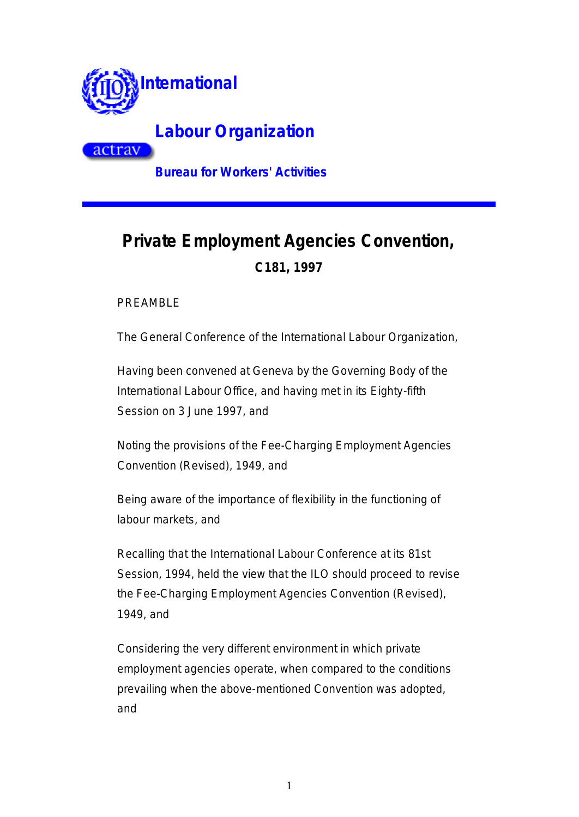

actrav

**Labour Organization**

**Bureau for Workers' Activities**

# **Private Employment Agencies Convention, C181, 1997**

PREAMBLE

The General Conference of the International Labour Organization,

Having been convened at Geneva by the Governing Body of the International Labour Office, and having met in its Eighty-fifth Session on 3 June 1997, and

Noting the provisions of the Fee-Charging Employment Agencies Convention (Revised), 1949, and

Being aware of the importance of flexibility in the functioning of labour markets, and

Recalling that the International Labour Conference at its 81st Session, 1994, held the view that the ILO should proceed to revise the Fee-Charging Employment Agencies Convention (Revised), 1949, and

Considering the very different environment in which private employment agencies operate, when compared to the conditions prevailing when the above-mentioned Convention was adopted, and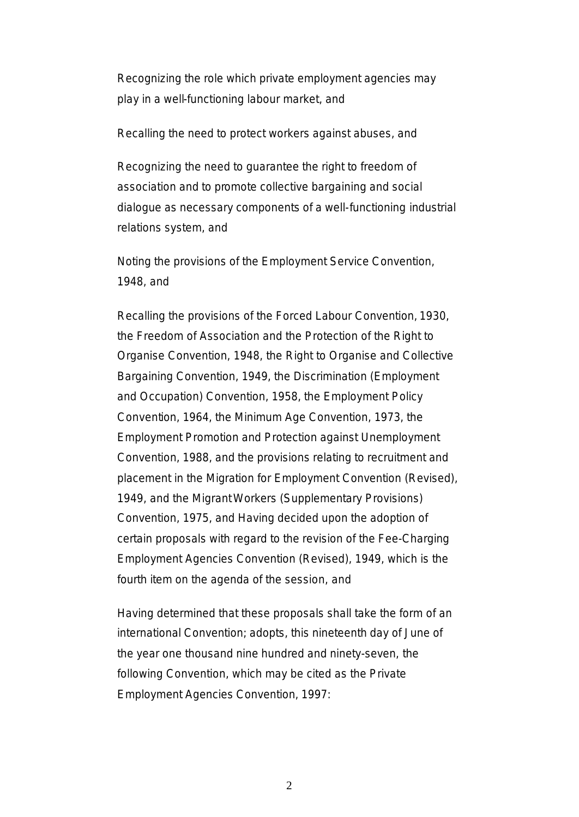Recognizing the role which private employment agencies may play in a well-functioning labour market, and

Recalling the need to protect workers against abuses, and

Recognizing the need to guarantee the right to freedom of association and to promote collective bargaining and social dialogue as necessary components of a well-functioning industrial relations system, and

Noting the provisions of the Employment Service Convention, 1948, and

Recalling the provisions of the Forced Labour Convention, 1930, the Freedom of Association and the Protection of the Right to Organise Convention, 1948, the Right to Organise and Collective Bargaining Convention, 1949, the Discrimination (Employment and Occupation) Convention, 1958, the Employment Policy Convention, 1964, the Minimum Age Convention, 1973, the Employment Promotion and Protection against Unemployment Convention, 1988, and the provisions relating to recruitment and placement in the Migration for Employment Convention (Revised), 1949, and the Migrant Workers (Supplementary Provisions) Convention, 1975, and Having decided upon the adoption of certain proposals with regard to the revision of the Fee-Charging Employment Agencies Convention (Revised), 1949, which is the fourth item on the agenda of the session, and

Having determined that these proposals shall take the form of an international Convention; adopts, this nineteenth day of June of the year one thousand nine hundred and ninety-seven, the following Convention, which may be cited as the Private Employment Agencies Convention, 1997: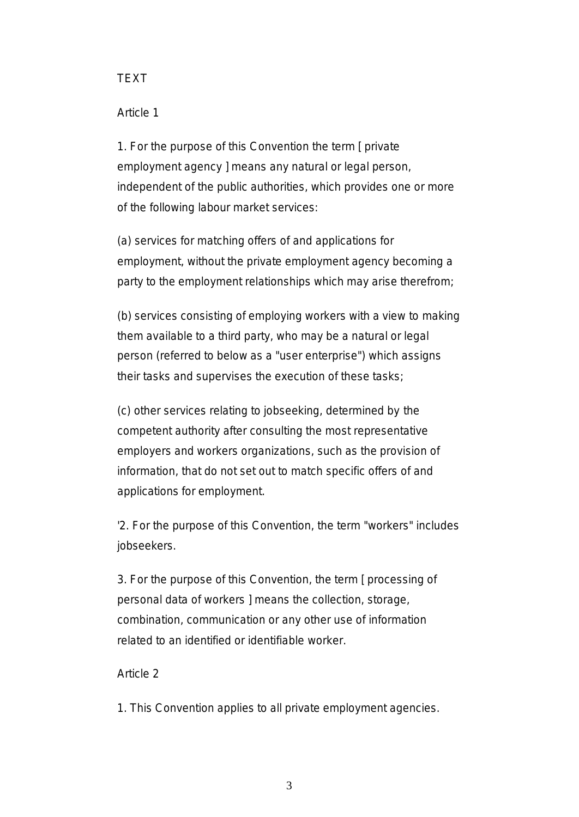# TEXT

# Article 1

1. For the purpose of this Convention the term [ private employment agency ] means any natural or legal person, independent of the public authorities, which provides one or more of the following labour market services:

(a) services for matching offers of and applications for employment, without the private employment agency becoming a party to the employment relationships which may arise therefrom;

(b) services consisting of employing workers with a view to making them available to a third party, who may be a natural or legal person (referred to below as a "user enterprise") which assigns their tasks and supervises the execution of these tasks;

(c) other services relating to jobseeking, determined by the competent authority after consulting the most representative employers and workers organizations, such as the provision of information, that do not set out to match specific offers of and applications for employment.

'2. For the purpose of this Convention, the term "workers" includes jobseekers.

3. For the purpose of this Convention, the term [ processing of personal data of workers ] means the collection, storage, combination, communication or any other use of information related to an identified or identifiable worker.

# Article 2

1. This Convention applies to all private employment agencies.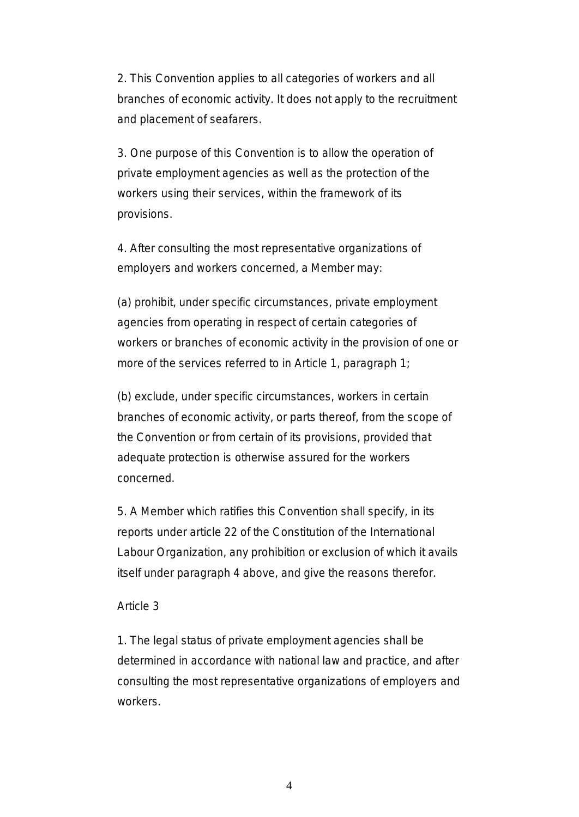2. This Convention applies to all categories of workers and all branches of economic activity. It does not apply to the recruitment and placement of seafarers.

3. One purpose of this Convention is to allow the operation of private employment agencies as well as the protection of the workers using their services, within the framework of its provisions.

4. After consulting the most representative organizations of employers and workers concerned, a Member may:

(a) prohibit, under specific circumstances, private employment agencies from operating in respect of certain categories of workers or branches of economic activity in the provision of one or more of the services referred to in Article 1, paragraph 1;

(b) exclude, under specific circumstances, workers in certain branches of economic activity, or parts thereof, from the scope of the Convention or from certain of its provisions, provided that adequate protection is otherwise assured for the workers concerned.

5. A Member which ratifies this Convention shall specify, in its reports under article 22 of the Constitution of the International Labour Organization, any prohibition or exclusion of which it avails itself under paragraph 4 above, and give the reasons therefor.

# Article 3

1. The legal status of private employment agencies shall be determined in accordance with national law and practice, and after consulting the most representative organizations of employers and workers.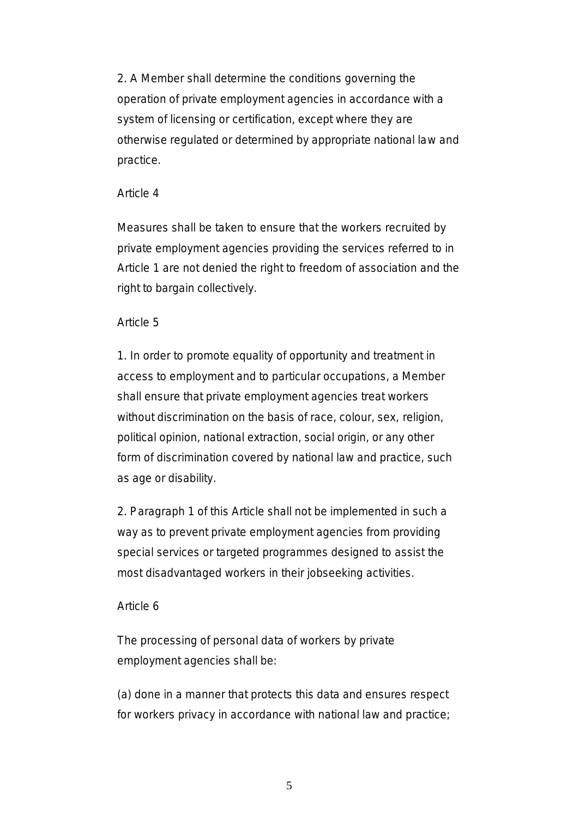2. A Member shall determine the conditions governing the operation of private employment agencies in accordance with a system of licensing or certification, except where they are otherwise regulated or determined by appropriate national law and practice.

## Article 4

Measures shall be taken to ensure that the workers recruited by private employment agencies providing the services referred to in Article 1 are not denied the right to freedom of association and the right to bargain collectively.

# Article 5

1. In order to promote equality of opportunity and treatment in access to employment and to particular occupations, a Member shall ensure that private employment agencies treat workers without discrimination on the basis of race, colour, sex, religion, political opinion, national extraction, social origin, or any other form of discrimination covered by national law and practice, such as age or disability.

2. Paragraph 1 of this Article shall not be implemented in such a way as to prevent private employment agencies from providing special services or targeted programmes designed to assist the most disadvantaged workers in their jobseeking activities.

# Article 6

The processing of personal data of workers by private employment agencies shall be:

(a) done in a manner that protects this data and ensures respect for workers privacy in accordance with national law and practice;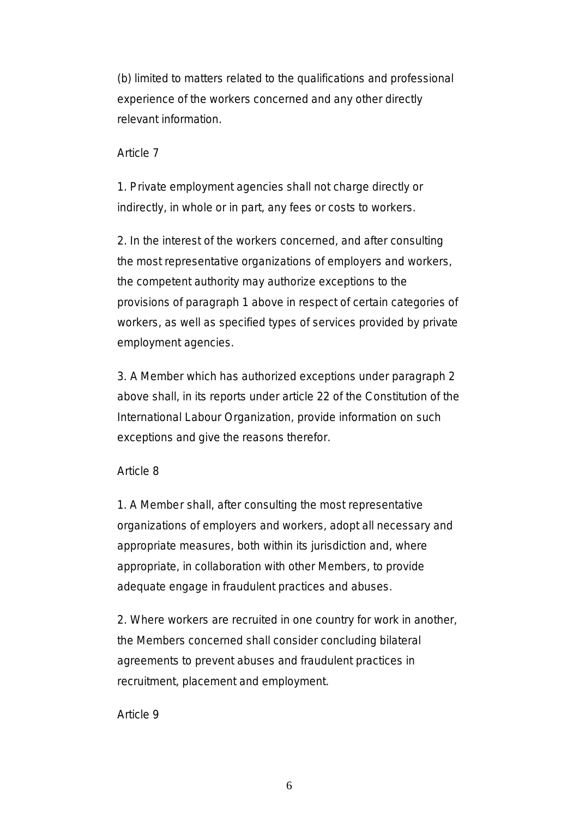(b) limited to matters related to the qualifications and professional experience of the workers concerned and any other directly relevant information.

### Article 7

1. Private employment agencies shall not charge directly or indirectly, in whole or in part, any fees or costs to workers.

2. In the interest of the workers concerned, and after consulting the most representative organizations of employers and workers, the competent authority may authorize exceptions to the provisions of paragraph 1 above in respect of certain categories of workers, as well as specified types of services provided by private employment agencies.

3. A Member which has authorized exceptions under paragraph 2 above shall, in its reports under article 22 of the Constitution of the International Labour Organization, provide information on such exceptions and give the reasons therefor.

#### Article 8

1. A Member shall, after consulting the most representative organizations of employers and workers, adopt all necessary and appropriate measures, both within its jurisdiction and, where appropriate, in collaboration with other Members, to provide adequate engage in fraudulent practices and abuses.

2. Where workers are recruited in one country for work in another, the Members concerned shall consider concluding bilateral agreements to prevent abuses and fraudulent practices in recruitment, placement and employment.

#### Article 9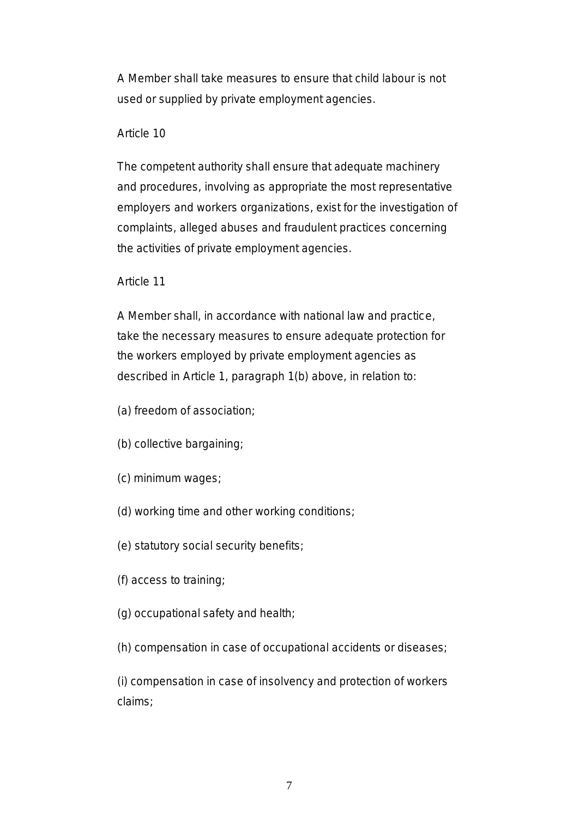A Member shall take measures to ensure that child labour is not used or supplied by private employment agencies.

# Article 10

The competent authority shall ensure that adequate machinery and procedures, involving as appropriate the most representative employers and workers organizations, exist for the investigation of complaints, alleged abuses and fraudulent practices concerning the activities of private employment agencies.

# Article 11

A Member shall, in accordance with national law and practice, take the necessary measures to ensure adequate protection for the workers employed by private employment agencies as described in Article 1, paragraph 1(b) above, in relation to:

(a) freedom of association;

- (b) collective bargaining;
- (c) minimum wages;
- (d) working time and other working conditions;
- (e) statutory social security benefits;
- (f) access to training;
- (g) occupational safety and health;
- (h) compensation in case of occupational accidents or diseases;

(i) compensation in case of insolvency and protection of workers claims;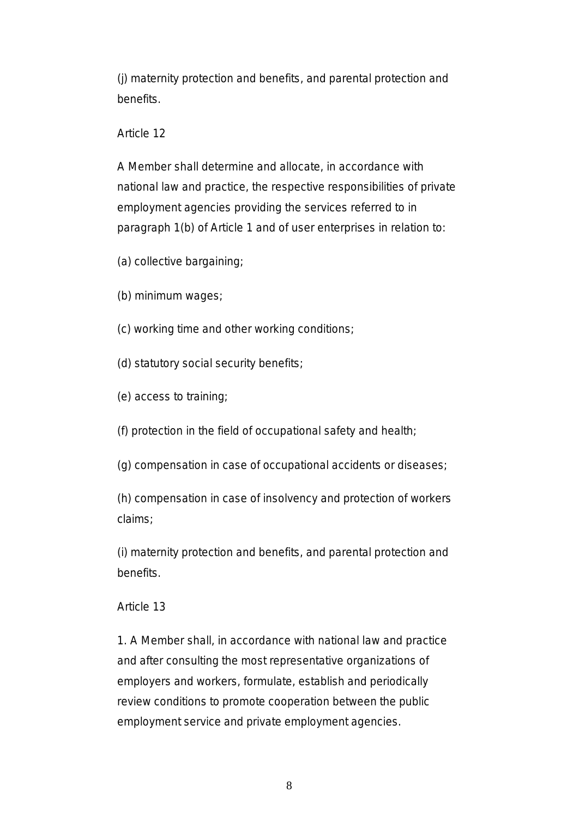(j) maternity protection and benefits, and parental protection and benefits.

Article 12

A Member shall determine and allocate, in accordance with national law and practice, the respective responsibilities of private employment agencies providing the services referred to in paragraph 1(b) of Article 1 and of user enterprises in relation to:

- (a) collective bargaining;
- (b) minimum wages;
- (c) working time and other working conditions;
- (d) statutory social security benefits;
- (e) access to training;

(f) protection in the field of occupational safety and health;

(g) compensation in case of occupational accidents or diseases;

(h) compensation in case of insolvency and protection of workers claims;

(i) maternity protection and benefits, and parental protection and benefits.

# Article 13

1. A Member shall, in accordance with national law and practice and after consulting the most representative organizations of employers and workers, formulate, establish and periodically review conditions to promote cooperation between the public employment service and private employment agencies.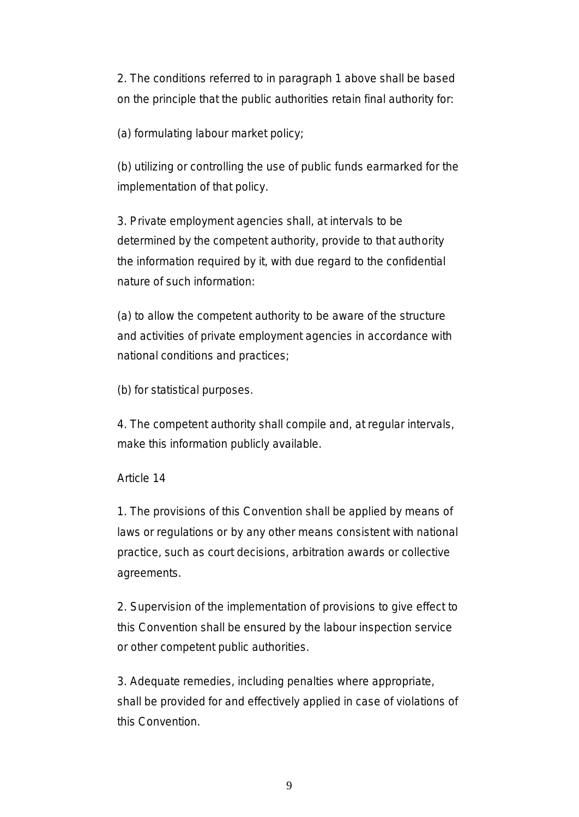2. The conditions referred to in paragraph 1 above shall be based on the principle that the public authorities retain final authority for:

(a) formulating labour market policy;

(b) utilizing or controlling the use of public funds earmarked for the implementation of that policy.

3. Private employment agencies shall, at intervals to be determined by the competent authority, provide to that authority the information required by it, with due regard to the confidential nature of such information:

(a) to allow the competent authority to be aware of the structure and activities of private employment agencies in accordance with national conditions and practices;

(b) for statistical purposes.

4. The competent authority shall compile and, at regular intervals, make this information publicly available.

# Article 14

1. The provisions of this Convention shall be applied by means of laws or regulations or by any other means consistent with national practice, such as court decisions, arbitration awards or collective agreements.

2. Supervision of the implementation of provisions to give effect to this Convention shall be ensured by the labour inspection service or other competent public authorities.

3. Adequate remedies, including penalties where appropriate, shall be provided for and effectively applied in case of violations of this Convention.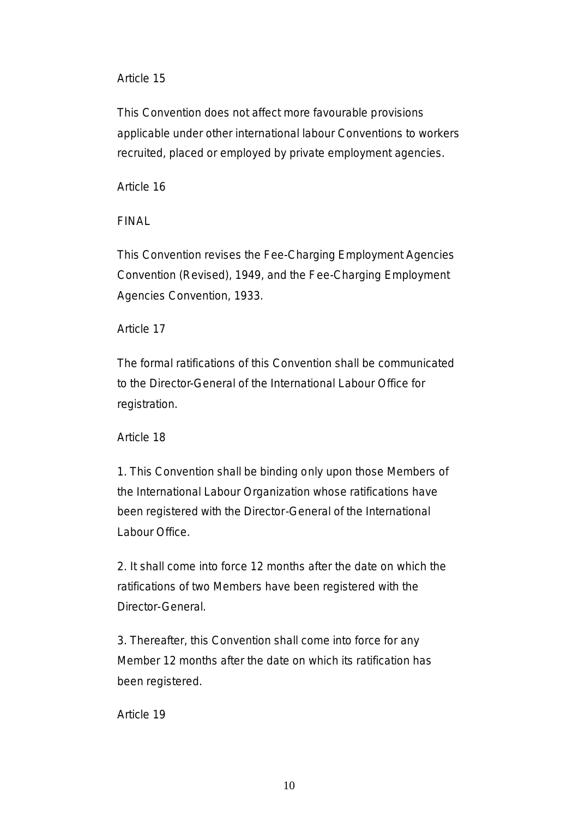# Article 15

This Convention does not affect more favourable provisions applicable under other international labour Conventions to workers recruited, placed or employed by private employment agencies.

# Article 16

# FINAL

This Convention revises the Fee-Charging Employment Agencies Convention (Revised), 1949, and the Fee-Charging Employment Agencies Convention, 1933.

# Article 17

The formal ratifications of this Convention shall be communicated to the Director-General of the International Labour Office for registration.

# Article 18

1. This Convention shall be binding only upon those Members of the International Labour Organization whose ratifications have been registered with the Director-General of the International Labour Office.

2. It shall come into force 12 months after the date on which the ratifications of two Members have been registered with the Director-General.

3. Thereafter, this Convention shall come into force for any Member 12 months after the date on which its ratification has been registered.

Article 19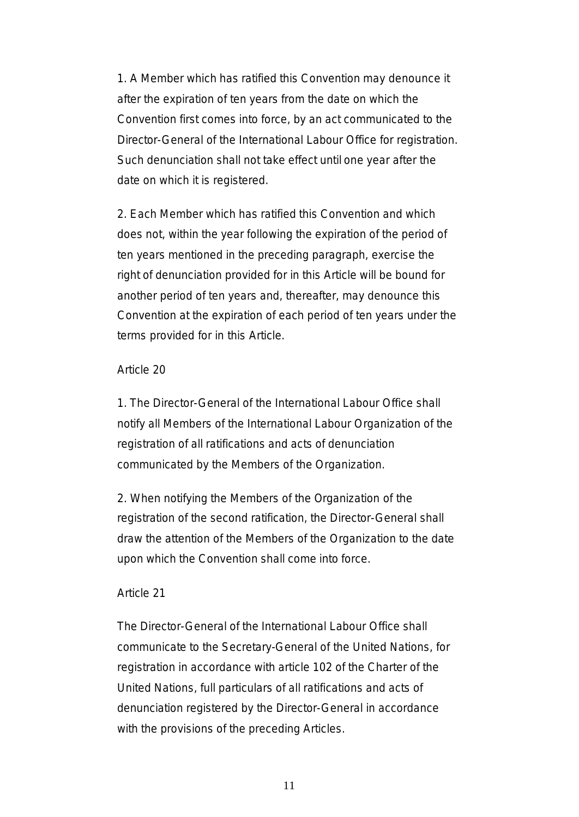1. A Member which has ratified this Convention may denounce it after the expiration of ten years from the date on which the Convention first comes into force, by an act communicated to the Director-General of the International Labour Office for registration. Such denunciation shall not take effect until one year after the date on which it is registered.

2. Each Member which has ratified this Convention and which does not, within the year following the expiration of the period of ten years mentioned in the preceding paragraph, exercise the right of denunciation provided for in this Article will be bound for another period of ten years and, thereafter, may denounce this Convention at the expiration of each period of ten years under the terms provided for in this Article.

#### Article 20

1. The Director-General of the International Labour Office shall notify all Members of the International Labour Organization of the registration of all ratifications and acts of denunciation communicated by the Members of the Organization.

2. When notifying the Members of the Organization of the registration of the second ratification, the Director-General shall draw the attention of the Members of the Organization to the date upon which the Convention shall come into force.

#### Article 21

The Director-General of the International Labour Office shall communicate to the Secretary-General of the United Nations, for registration in accordance with article 102 of the Charter of the United Nations, full particulars of all ratifications and acts of denunciation registered by the Director-General in accordance with the provisions of the preceding Articles.